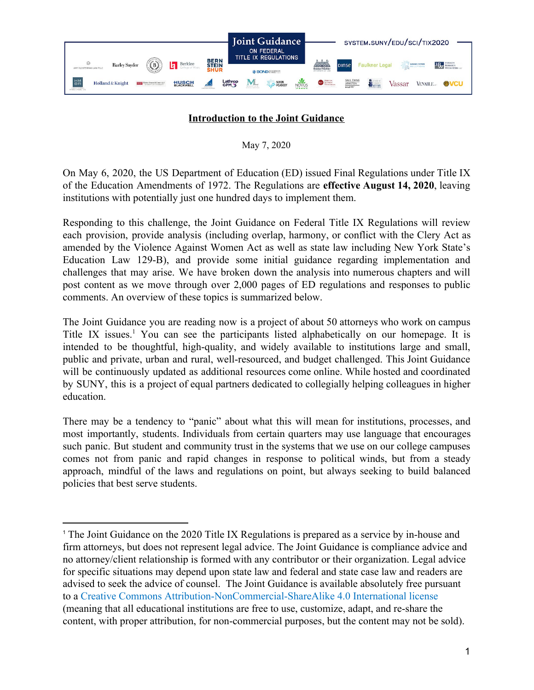

# **Introduction to the Joint Guidance**

May 7, 2020

On May 6, 2020, the US Department of Education (ED) issued Final Regulations under Title IX of the Education Amendments of 1972. The Regulations are **effective August 14, 2020**, leaving institutions with potentially just one hundred days to implement them.

Responding to this challenge, the Joint Guidance on Federal Title IX Regulations will review each provision, provide analysis (including overlap, harmony, or conflict with the Clery Act as amended by the Violence Against Women Act as well as state law including New York State's Education Law 129-B), and provide some initial guidance regarding implementation and challenges that may arise. We have broken down the analysis into numerous chapters and will post content as we move through over 2,000 pages of ED regulations and responses to public comments. An overview of these topics is summarized below.

The Joint Guidance you are reading now is a project of about 50 attorneys who work on campus Title IX issues.<sup>1</sup> You can see the participants listed alphabetically on our homepage. It is intended to be thoughtful, high-quality, and widely available to institutions large and small, public and private, urban and rural, well-resourced, and budget challenged. This Joint Guidance will be continuously updated as additional resources come online. While hosted and coordinated by SUNY, this is a project of equal partners dedicated to collegially helping colleagues in higher education.

There may be a tendency to "panic" about what this will mean for institutions, processes, and most importantly, students. Individuals from certain quarters may use language that encourages such panic. But student and community trust in the systems that we use on our college campuses comes not from panic and rapid changes in response to political winds, but from a steady approach, mindful of the laws and regulations on point, but always seeking to build balanced policies that best serve students.

<sup>1</sup> The Joint Guidance on the 2020 Title IX Regulations is prepared as a service by in-house and firm attorneys, but does not represent legal advice. The Joint Guidance is compliance advice and no attorney/client relationship is formed with any contributor or their organization. Legal advice for specific situations may depend upon state law and federal and state case law and readers are advised to seek the advice of counsel. The Joint Guidance is available absolutely free pursuant to a Creative Commons [Attribution-NonCommercial-ShareAlike 4.0 International license](https://creativecommons.org/licenses/by-nc-sa/4.0/) (meaning that all educational institutions are free to use, customize, adapt, and re-share the content, with proper attribution, for non-commercial purposes, but the content may not be sold).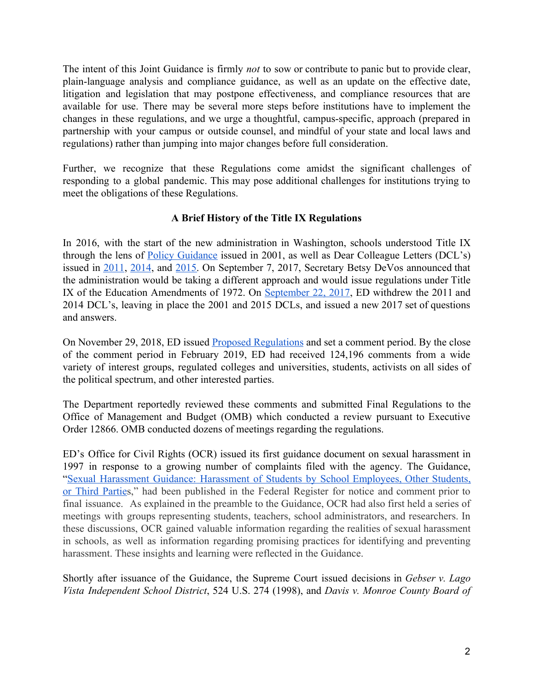The intent of this Joint Guidance is firmly *not* to sow or contribute to panic but to provide clear, plain-language analysis and compliance guidance, as well as an update on the effective date, litigation and legislation that may postpone effectiveness, and compliance resources that are available for use. There may be several more steps before institutions have to implement the changes in these regulations, and we urge a thoughtful, campus-specific, approach (prepared in partnership with your campus or outside counsel, and mindful of your state and local laws and regulations) rather than jumping into major changes before full consideration.

Further, we recognize that these Regulations come amidst the significant challenges of responding to a global pandemic. This may pose additional challenges for institutions trying to meet the obligations of these Regulations.

# **A Brief History of the Title IX Regulations**

In 2016, with the start of the new administration in Washington, schools understood Title IX through the lens of Policy [Guidance](https://www2.ed.gov/about/offices/list/ocr/docs/shguide.html) issued in 2001, as well as Dear Colleague Letters (DCL's) issued in [2011](https://www2.ed.gov/about/offices/list/ocr/letters/colleague-201104.html), [2014](https://www2.ed.gov/about/offices/list/ocr/docs/faqs-title-ix-single-sex-201412.pdf), and [2015.](https://www2.ed.gov/about/offices/list/ocr/letters/colleague-201504-title-ix-coordinators.pdf) On September 7, 2017, Secretary Betsy DeVos announced that the administration would be taking a different approach and would issue regulations under Title IX of the Education Amendments of 1972. On [September](https://www.ed.gov/news/press-releases/department-education-issues-new-interim-guidance-campus-sexual-misconduct) 22, 2017, ED withdrew the 2011 and 2014 DCL's, leaving in place the 2001 and 2015 DCLs, and issued a new 2017 set of questions and answers.

On November 29, 2018, ED issued Proposed [Regulations](https://www.federalregister.gov/documents/2018/11/29/2018-25314/nondiscrimination-on-the-basis-of-sex-in-education-programs-or-activities-receiving-federal) and set a comment period. By the close of the comment period in February 2019, ED had received 124,196 comments from a wide variety of interest groups, regulated colleges and universities, students, activists on all sides of the political spectrum, and other interested parties.

The Department reportedly reviewed these comments and submitted Final Regulations to the Office of Management and Budget (OMB) which conducted a review pursuant to Executive Order 12866. OMB conducted dozens of meetings regarding the regulations.

ED's Office for Civil Rights (OCR) issued its first guidance document on sexual harassment in 1997 in response to a growing number of complaints filed with the agency. The Guidance, "Sexual [Harassment](https://www.govinfo.gov/content/pkg/FR-1997-03-13/pdf/97-6373.pdf) Guidance: Harassment of Students by School Employees, Other Students, or Third [Parties](https://www.govinfo.gov/content/pkg/FR-1997-03-13/pdf/97-6373.pdf)," had been published in the Federal Register for notice and comment prior to final issuance. As explained in the preamble to the Guidance, OCR had also first held a series of meetings with groups representing students, teachers, school administrators, and researchers. In these discussions, OCR gained valuable information regarding the realities of sexual harassment in schools, as well as information regarding promising practices for identifying and preventing harassment. These insights and learning were reflected in the Guidance.

Shortly after issuance of the Guidance, the Supreme Court issued decisions in *Gebser v. Lago Vista Independent School District*, 524 U.S. 274 (1998), and *Davis v. Monroe County Board of*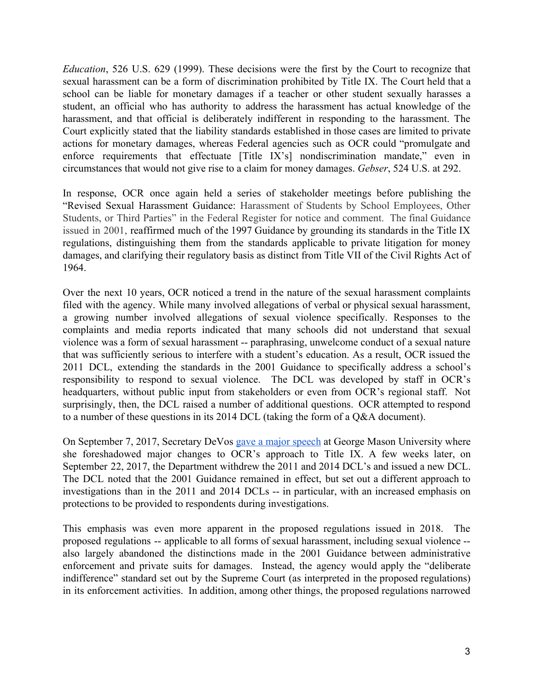*Education*, 526 U.S. 629 (1999). These decisions were the first by the Court to recognize that sexual harassment can be a form of discrimination prohibited by Title IX. The Court held that a school can be liable for monetary damages if a teacher or other student sexually harasses a student, an official who has authority to address the harassment has actual knowledge of the harassment, and that official is deliberately indifferent in responding to the harassment. The Court explicitly stated that the liability standards established in those cases are limited to private actions for monetary damages, whereas Federal agencies such as OCR could "promulgate and enforce requirements that effectuate [Title IX's] nondiscrimination mandate," even in circumstances that would not give rise to a claim for money damages. *Gebser*, 524 U.S. at 292.

In response, OCR once again held a series of stakeholder meetings before publishing the "Revised Sexual Harassment Guidance: Harassment of Students by School Employees, Other Students, or Third Parties" in the Federal Register for notice and comment. The final Guidance issued in 2001, reaffirmed much of the 1997 Guidance by grounding its standards in the Title IX regulations, distinguishing them from the standards applicable to private litigation for money damages, and clarifying their regulatory basis as distinct from Title VII of the Civil Rights Act of 1964.

Over the next 10 years, OCR noticed a trend in the nature of the sexual harassment complaints filed with the agency. While many involved allegations of verbal or physical sexual harassment, a growing number involved allegations of sexual violence specifically. Responses to the complaints and media reports indicated that many schools did not understand that sexual violence was a form of sexual harassment -- paraphrasing, unwelcome conduct of a sexual nature that was sufficiently serious to interfere with a student's education. As a result, OCR issued the 2011 DCL, extending the standards in the 2001 Guidance to specifically address a school's responsibility to respond to sexual violence. The DCL was developed by staff in OCR's headquarters, without public input from stakeholders or even from OCR's regional staff. Not surprisingly, then, the DCL raised a number of additional questions. OCR attempted to respond to a number of these questions in its 2014 DCL (taking the form of a Q&A document).

On September 7, 2017, Secretary DeVos gave a major [speech](https://www2.gmu.edu/news/446871) at George Mason University where she foreshadowed major changes to OCR's approach to Title IX. A few weeks later, on September 22, 2017, the Department withdrew the 2011 and 2014 DCL's and issued a new DCL. The DCL noted that the 2001 Guidance remained in effect, but set out a different approach to investigations than in the 2011 and 2014 DCLs -- in particular, with an increased emphasis on protections to be provided to respondents during investigations.

This emphasis was even more apparent in the proposed regulations issued in 2018. The proposed regulations -- applicable to all forms of sexual harassment, including sexual violence - also largely abandoned the distinctions made in the 2001 Guidance between administrative enforcement and private suits for damages. Instead, the agency would apply the "deliberate indifference" standard set out by the Supreme Court (as interpreted in the proposed regulations) in its enforcement activities. In addition, among other things, the proposed regulations narrowed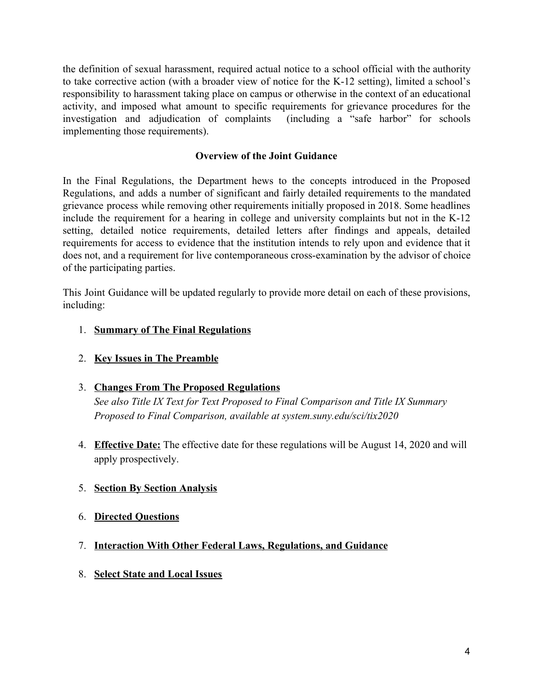the definition of sexual harassment, required actual notice to a school official with the authority to take corrective action (with a broader view of notice for the K-12 setting), limited a school's responsibility to harassment taking place on campus or otherwise in the context of an educational activity, and imposed what amount to specific requirements for grievance procedures for the investigation and adjudication of complaints (including a "safe harbor" for schools implementing those requirements).

## **Overview of the Joint Guidance**

In the Final Regulations, the Department hews to the concepts introduced in the Proposed Regulations, and adds a number of significant and fairly detailed requirements to the mandated grievance process while removing other requirements initially proposed in 2018. Some headlines include the requirement for a hearing in college and university complaints but not in the K-12 setting, detailed notice requirements, detailed letters after findings and appeals, detailed requirements for access to evidence that the institution intends to rely upon and evidence that it does not, and a requirement for live contemporaneous cross-examination by the advisor of choice of the participating parties.

This Joint Guidance will be updated regularly to provide more detail on each of these provisions, including:

### 1. **Summary of The Final Regulations**

2. **Key Issues in The Preamble**

#### 3. **Changes From The Proposed Regulations**

*See also Title IX Text for Text Proposed to Final Comparison and Title IX Summary Proposed to Final Comparison, available at system.suny.edu/sci/tix2020*

4. **Effective Date:** The effective date for these regulations will be August 14, 2020 and will apply prospectively.

## 5. **Section By Section Analysis**

- 6. **Directed Questions**
- 7. **Interaction With Other Federal Laws, Regulations, and Guidance**
- 8. **Select State and Local Issues**